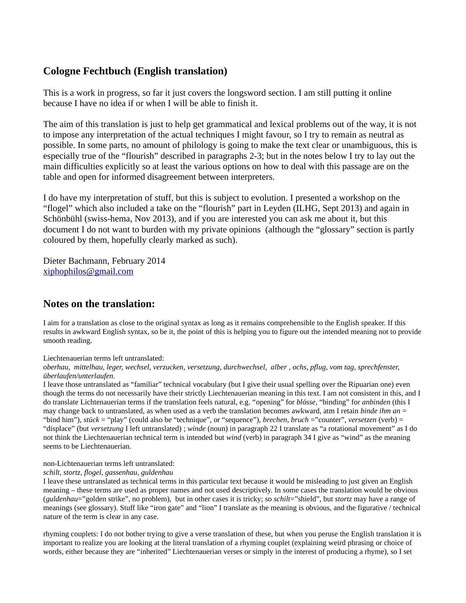# **Cologne Fechtbuch (English translation)**

This is a work in progress, so far it just covers the longsword section. I am still putting it online because I have no idea if or when I will be able to finish it.

The aim of this translation is just to help get grammatical and lexical problems out of the way, it is not to impose any interpretation of the actual techniques I might favour, so I try to remain as neutral as possible. In some parts, no amount of philology is going to make the text clear or unambiguous, this is especially true of the "flourish" described in paragraphs 2-3; but in the notes below I try to lay out the main difficulties explicitly so at least the various options on how to deal with this passage are on the table and open for informed disagreement between interpreters.

I do have my interpretation of stuff, but this is subject to evolution. I presented a workshop on the "flogel" which also included a take on the "flourish" part in Leyden (ILHG, Sept 2013) and again in Schönbühl (swiss-hema, Nov 2013), and if you are interested you can ask me about it, but this document I do not want to burden with my private opinions (although the "glossary" section is partly coloured by them, hopefully clearly marked as such).

Dieter Bachmann, February 2014 [xiphophilos@gmail.com](mailto:xiphophilos@gmail.com)

# **Notes on the translation:**

I aim for a translation as close to the original syntax as long as it remains comprehensible to the English speaker. If this results in awkward English syntax, so be it, the point of this is helping you to figure out the intended meaning not to provide smooth reading.

Liechtenauerian terms left untranslated:

*oberhau, mittelhau, leger, wechsel, verzucken, versetzung, durchwechsel, alber , ochs, pflug, vom tag, sprechfenster, überlaufen/unterlaufen.*

I leave those untranslated as "familiar" technical vocabulary (but I give their usual spelling over the Ripuarian one) even though the terms do not necessarily have their strictly Liechtenauerian meaning in this text. I am not consistent in this, and I do translate Lichtenauerian terms if the translation feels natural, e.g. "opening" for *blösse*, "binding" for *anbinden* (this I may change back to untranslated, as when used as a verb the translation becomes awkward, atm I retain *binde ihm an* = "bind him"), *stück* = "play" (could also be "technique", or "sequence"), *brechen, bruch* ="counter", *versetzen* (verb) = "displace" (but *versetzung* I left untranslated) ; *winde* (noun) in paragraph 22 I translate as "a rotational movement" as I do not think the Liechtenauerian technical term is intended but *wind* (verb) in paragraph 34 I give as "wind" as the meaning seems to be Liechtenauerian.

non-Lichtenauerian terms left untranslated:

#### *schilt, stortz, flogel, gassenhau, guldenhau*

I leave these untranslated as technical terms in this particular text because it would be misleading to just given an English meaning – these terms are used as proper names and not used descriptively. In some cases the translation would be obvious (*guldenhau*="golden strike", no problem), but in other cases it is tricky; so *schilt*="shield", but *stortz* may have a range of meanings (see glossary). Stuff like "iron gate" and "lion" I translate as the meaning is obvious, and the figurative / technical nature of the term is clear in any case.

rhyming couplets: I do not bother trying to give a verse translation of these, but when you peruse the English translation it is important to realize you are looking at the literal translation of a rhyming couplet (explaining weird phrasing or choice of words, either because they are "inherited" Liechtenauerian verses or simply in the interest of producing a rhyme), so I set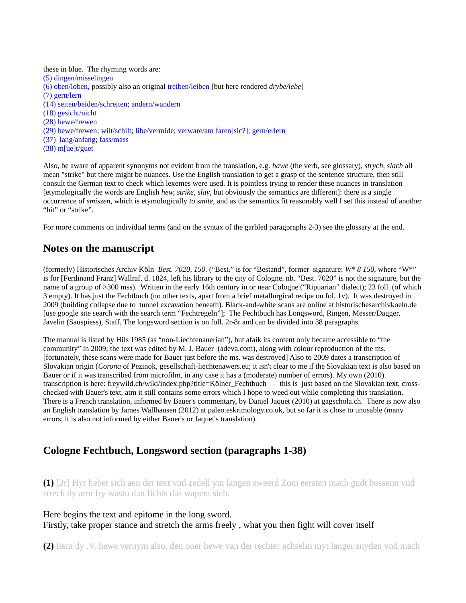these in blue. The rhyming words are: (5) dingen/misselingen (6) oben/loben, possibly also an original treiben/leiben [but here rendered *drybe/lebe*] (7) gern/lern (14) seiten/beiden/schreiten; andern/wandern (18) gesicht/nicht (28) hewe/frewen (29) hewe/frewen; wilt/schilt; libe/vermide; verware/am faren[sic?]; gern/erlern (37) lang/anfang; fass/mass (38) m[ue]t/guet

Also, be aware of apparent synonyms not evident from the translation, e.g. *hawe* (the verb, see glossary)*, strych, slach* all mean "strike" but there might be nuances. Use the English translation to get a grasp of the sentence structure, then still consult the German text to check which lexemes were used. It is pointless trying to render these nuances in translation [etymologically the words are English *hew, strike, slay*, but obviously the semantics are different]: there is a single occurrence of *smiszen*, which is etymologically *to smite,* and as the semantics fit reasonably well I set this instead of another "hit" or "strike".

For more comments on individual terms (and on the syntax of the garbled paragpraphs 2-3) see the glossary at the end.

# **Notes on the manuscript**

(formerly) Historisches Archiv Köln *Best. 7020, 150*. ("Best." is for "Bestand", former signature: *W\* 8 150*, where "W\*" is for [Ferdinand Franz] Wallraf, d. 1824, left his library to the city of Cologne. nb. "Best. 7020" is not the signature, but the name of a group of >300 mss). Written in the early 16th century in or near Cologne ("Ripuarian" dialect); 23 foll. (of which 3 empty). It has just the Fechtbuch (no other texts, apart from a brief metallurgical recipe on fol. 1v). It was destroyed in 2009 (building collapse due to tunnel excavation beneath). Black-and-white scans are online at historischesarchivkoeln.de [use google site search with the search term "Fechtregeln"]; The Fechtbuch has Longsword, Ringen, Messer/Dagger, Javelin (Sauspiess), Staff. The longsword section is on foll. 2r-8r and can be divided into 38 paragraphs.

The manual is listed by Hils 1985 (as "non-Liechtenauerian"), but afaik its content only became accessible to "the community" in 2009; the text was edited by M. J. Bauer (adeva.com), along with colour reproduction of the ms. [fortunately, these scans were made for Bauer just before the ms. was destroyed] Also to 2009 dates a transcription of Slovakian origin (*Corona* of Pezinok, gesellschaft-liechtenawers.eu; it isn't clear to me if the Slovakian text is also based on Bauer or if it was transcribed from microfilm, in any case it has a (moderate) number of errors). My own (2010) transcription is here: freywild.ch/wiki/index.php?title=Kölner\_Fechtbuch – this is just based on the Slovakian text, crosschecked with Bauer's text, atm it still contains some errors which I hope to weed out while completing this translation. There is a French translation, informed by Bauer's commentary, by Daniel Jaquet (2010) at gagschola.ch. There is now also an English translation by James Wallhausen (2012) at paleo.eskrimology.co.uk, but so far it is close to unusable (many errors; it is also not informed by either Bauer's or Jaquet's translation).

## **Cologne Fechtbuch, Longsword section (paragraphs 1-38)**

**(1)** [2r] Hyr hebet sich aen der text vnd zedell ym langen sweerd Zom eersten mach gudt bossenn vnd streck dy arm fry wastu dan fichts das wapent sich.

Here begins the text and epitome in the long sword. Firstly, take proper stance and stretch the arms freely , what you then fight will cover itself

**(2)** Item dy .V. hewe vernym also, den ouer hewe van der rechter achselin myt langer snyden vnd mach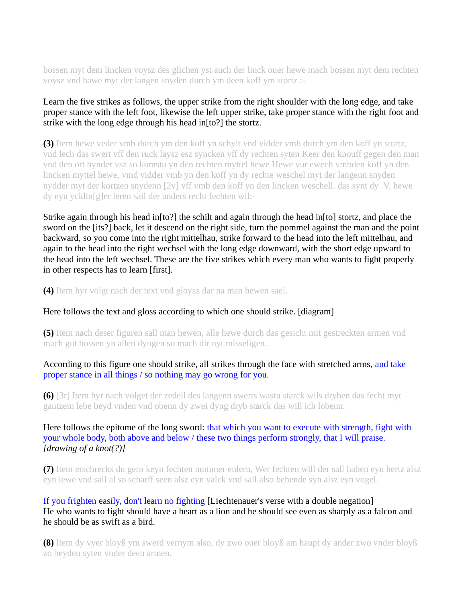bossen myt dem lincken voysz des glichen yst auch der linck ouer hewe mach bossen myt dem rechten voysz vnd hawe myt der langen snyden durch ym deen koff ym stortz :-

### Learn the five strikes as follows, the upper strike from the right shoulder with the long edge, and take proper stance with the left foot, likewise the left upper strike, take proper stance with the right foot and strike with the long edge through his head in[to?] the stortz.

**(3)** Item hewe veder vmb durch ym den koff yn schylt vnd vidder vmb durch ym den koff yn stortz, vnd lech das swert vff den ruck laysz esz syncken vff dy rechten syten Keer den knouff gegen den man vnd den ort hynder vsz so komstu yn den rechten myttel hewe Hewe vur ewech vmbden koff yn den lincken myttel hewe, vmd vidder vmb yn den koff yn dy rechte weschel myt der langenn snyden nydder myt der kortzen snydenn [2v] vff vmb den koff yn den lincken weschell. das synt dy .V. hewe dy eyn ycklin[g]er leren sail der anders recht fechten wil:-

Strike again through his head in[to?] the schilt and again through the head in[to] stortz, and place the sword on the [its?] back, let it descend on the right side, turn the pommel against the man and the point backward, so you come into the right mittelhau, strike forward to the head into the left mittelhau, and again to the head into the right wechsel with the long edge downward, with the short edge upward to the head into the left wechsel. These are the five strikes which every man who wants to fight properly in other respects has to learn [first].

**(4)** Item hyr volgt nach der text vnd gloysz dar na man hewen sael.

#### Here follows the text and gloss according to which one should strike. [diagram]

**(5)** Item nach deser figuren sall man hewen, alle hewe durch das gesicht mit gestreckten armen vnd mach gut bossen yn allen dyngen so mach dir nyt misseligen.

#### According to this figure one should strike, all strikes through the face with stretched arms, and take proper stance in all things / so nothing may go wrong for you.

**(6)** [3r] Item hyr nach volget der zedell des langenn swerts wastu starck wils dryben das fecht myt gantzem lebe beyd vnden vnd obenn dy zwei dyng dryb starck das will ich lobenn.

## Here follows the epitome of the long sword: that which you want to execute with strength, fight with your whole body, both above and below / these two things perform strongly, that I will praise. *[drawing of a knot(?)]*

**(7)** Item erschrecks du gern keyn fechten nummer enlern, Wer fechten will der sall haben eyn hertz alsz eyn lewe vnd sall al so scharff seen alsz eyn valck vnd sall also behende syn alsz eyn vogel.

#### If you frighten easily, don't learn no fighting [Liechtenauer's verse with a double negation] He who wants to fight should have a heart as a lion and he should see even as sharply as a falcon and he should be as swift as a bird.

**(8)** Item dy vyer bloyß ym swerd vernym also, dy zwo ouer bloyß am haupt dy ander zwo vnder bloyß zo beyden syten vnder deen armen.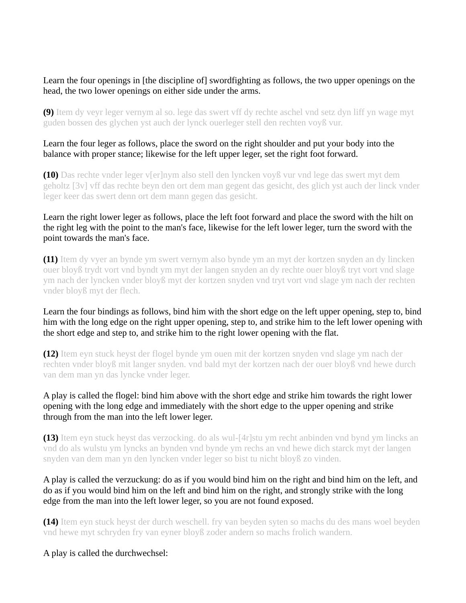## Learn the four openings in [the discipline of] swordfighting as follows, the two upper openings on the head, the two lower openings on either side under the arms.

**(9)** Item dy veyr leger vernym al so. lege das swert vff dy rechte aschel vnd setz dyn liff yn wage myt guden bossen des glychen yst auch der lynck ouerleger stell den rechten voyß vur.

#### Learn the four leger as follows, place the sword on the right shoulder and put your body into the balance with proper stance; likewise for the left upper leger, set the right foot forward.

**(10)** Das rechte vnder leger v[er]nym also stell den lyncken voyß vur vnd lege das swert myt dem geholtz [3v] vff das rechte beyn den ort dem man gegent das gesicht, des glich yst auch der linck vnder leger keer das swert denn ort dem mann gegen das gesicht.

## Learn the right lower leger as follows, place the left foot forward and place the sword with the hilt on the right leg with the point to the man's face, likewise for the left lower leger, turn the sword with the point towards the man's face.

**(11)** Item dy vyer an bynde ym swert vernym also bynde ym an myt der kortzen snyden an dy lincken ouer bloyß trydt vort vnd byndt ym myt der langen snyden an dy rechte ouer bloyß tryt vort vnd slage ym nach der lyncken vnder bloyß myt der kortzen snyden vnd tryt vort vnd slage ym nach der rechten vnder bloyß myt der flech.

## Learn the four bindings as follows, bind him with the short edge on the left upper opening, step to, bind him with the long edge on the right upper opening, step to, and strike him to the left lower opening with the short edge and step to, and strike him to the right lower opening with the flat.

**(12)** Item eyn stuck heyst der flogel bynde ym ouen mit der kortzen snyden vnd slage ym nach der rechten vnder bloyß mit langer snyden. vnd bald myt der kortzen nach der ouer bloyß vnd hewe durch van dem man yn das lyncke vnder leger.

## A play is called the flogel: bind him above with the short edge and strike him towards the right lower opening with the long edge and immediately with the short edge to the upper opening and strike through from the man into the left lower leger.

**(13)** Item eyn stuck heyst das verzocking. do als wul-[4r]stu ym recht anbinden vnd bynd ym lincks an vnd do als wulstu ym lyncks an bynden vnd bynde ym rechs an vnd hewe dich starck myt der langen snyden van dem man yn den lyncken vnder leger so bist tu nicht bloyß zo vinden.

## A play is called the verzuckung: do as if you would bind him on the right and bind him on the left, and do as if you would bind him on the left and bind him on the right, and strongly strike with the long edge from the man into the left lower leger, so you are not found exposed.

**(14)** Item eyn stuck heyst der durch weschell. fry van beyden syten so machs du des mans woel beyden vnd hewe myt schryden fry van eyner bloyß zoder andern so machs frolich wandern.

# A play is called the durchwechsel: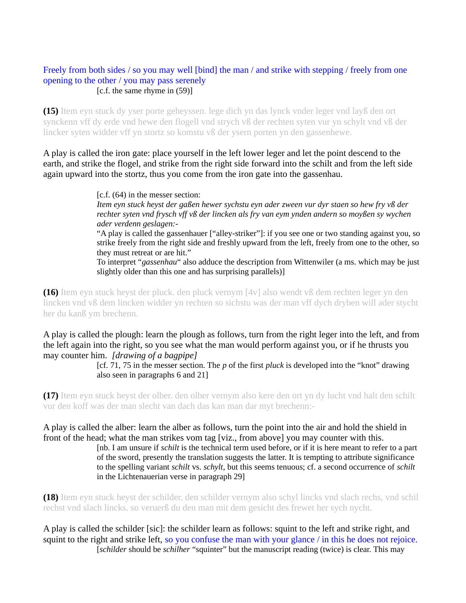#### Freely from both sides / so you may well [bind] the man / and strike with stepping / freely from one opening to the other / you may pass serenely [c.f. the same rhyme in (59)]

**(15)** Item eyn stuck dy yser porte geheyssen. lege dich yn das lynck vnder leger vnd layß den ort synckenn vff dy erde vnd hewe den flogell vnd strych vß der rechten syten vur yn schylt vnd vß der lincker syten widder vff yn stortz so komstu vß der ysern porten yn den gassenhewe.

A play is called the iron gate: place yourself in the left lower leger and let the point descend to the earth, and strike the flogel, and strike from the right side forward into the schilt and from the left side again upward into the stortz, thus you come from the iron gate into the gassenhau.

> [c.f. (64) in the messer section: *Item eyn stuck heyst der gaßen hewer sychstu eyn ader zween vur dyr staen so hew fry vß der rechter syten vnd frysch vff vß der lincken als fry van eym ynden andern so moyßen sy wychen ader verdenn geslagen:-*

"A play is called the gassenhauer ["alley-striker"]: if you see one or two standing against you, so strike freely from the right side and freshly upward from the left, freely from one to the other, so they must retreat or are hit."

To interpret "*gassenhau*" also adduce the description from Wittenwiler (a ms. which may be just slightly older than this one and has surprising parallels)]

**(16)** Item eyn stuck heyst der pluck. den pluck vernym [4v] also wendt vß dem rechten leger yn den lincken vnd vß dem lincken widder yn rechten so sichstu was der man vff dych dryben will ader stycht her du kanß ym brechenn.

A play is called the plough: learn the plough as follows, turn from the right leger into the left, and from the left again into the right, so you see what the man would perform against you, or if he thrusts you may counter him. *[drawing of a bagpipe]*

> [cf. 71, 75 in the messer section. The *p* of the first *pluck* is developed into the "knot" drawing also seen in paragraphs 6 and 21]

**(17)** Item eyn stuck heyst der olber. den olber vernym also kere den ort yn dy lucht vnd halt den schilt vur den koff was der man slecht van dach das kan man dar myt brechenn:-

A play is called the alber: learn the alber as follows, turn the point into the air and hold the shield in front of the head; what the man strikes vom tag [viz., from above] you may counter with this. [nb. I am unsure if *schilt* is the technical term used before, or if it is here meant to refer to a part of the sword, presently the translation suggests the latter. It is tempting to attribute significance to the spelling variant *schilt* vs. *schylt*, but this seems tenuous; cf. a second occurrence of *schilt* in the Lichtenauerian verse in paragraph 29]

**(18)** Item eyn stuck heyst der schilder. den schilder vernym also schyl lincks vnd slach rechs, vnd schil rechst vnd slach lincks. so veruerß du den man mit dem gesicht des frewet her sych nycht.

A play is called the schilder [sic]: the schilder learn as follows: squint to the left and strike right, and squint to the right and strike left, so you confuse the man with your glance / in this he does not rejoice. [*schilder* should be *schilher* "squinter" but the manuscript reading (twice) is clear. This may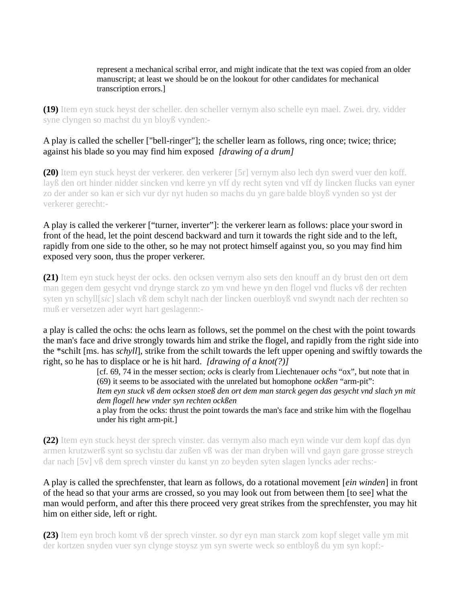#### represent a mechanical scribal error, and might indicate that the text was copied from an older manuscript; at least we should be on the lookout for other candidates for mechanical transcription errors.]

**(19)** Item eyn stuck heyst der scheller. den scheller vernym also schelle eyn mael. Zwei. dry. vidder syne clyngen so machst du yn bloyß vynden:-

## A play is called the scheller ["bell-ringer"]; the scheller learn as follows, ring once; twice; thrice; against his blade so you may find him exposed *[drawing of a drum]*

**(20)** Item eyn stuck heyst der verkerer. den verkerer [5r] vernym also lech dyn swerd vuer den koff. layß den ort hinder nidder sincken vnd kerre yn vff dy recht syten vnd vff dy lincken flucks van eyner zo der ander so kan er sich vur dyr nyt huden so machs du yn gare balde bloyß vynden so yst der verkerer gerecht:-

#### A play is called the verkerer ["turner, inverter"]: the verkerer learn as follows: place your sword in front of the head, let the point descend backward and turn it towards the right side and to the left, rapidly from one side to the other, so he may not protect himself against you, so you may find him exposed very soon, thus the proper verkerer.

**(21)** Item eyn stuck heyst der ocks. den ocksen vernym also sets den knouff an dy brust den ort dem man gegen dem gesycht vnd drynge starck zo ym vnd hewe yn den flogel vnd flucks vß der rechten syten yn schyll[*sic*] slach vß dem schylt nach der lincken ouerbloyß vnd swyndt nach der rechten so muß er versetzen ader wyrt hart geslagenn:-

a play is called the ochs: the ochs learn as follows, set the pommel on the chest with the point towards the man's face and drive strongly towards him and strike the flogel, and rapidly from the right side into the \*schilt [ms. has *schyll*], strike from the schilt towards the left upper opening and swiftly towards the right, so he has to displace or he is hit hard. *[drawing of a knot(?)]*

> [cf. 69, 74 in the messer section; *ocks* is clearly from Liechtenauer *ochs* "ox", but note that in (69) it seems to be associated with the unrelated but homophone *ockßen* "arm-pit": *Item eyn stuck vß dem ocksen stoeß den ort dem man starck gegen das gesycht vnd slach yn mit*

> *dem flogell hew vnder syn rechten ockßen*

a play from the ocks: thrust the point towards the man's face and strike him with the flogelhau under his right arm-pit.]

**(22)** Item eyn stuck heyst der sprech vinster. das vernym also mach eyn winde vur dem kopf das dyn armen krutzwerß synt so sychstu dar zußen vß was der man dryben will vnd gayn gare grosse streych dar nach [5v] vß dem sprech vinster du kanst yn zo beyden syten slagen lyncks ader rechs:-

A play is called the sprechfenster, that learn as follows, do a rotational movement [*ein winden*] in front of the head so that your arms are crossed, so you may look out from between them [to see] what the man would perform, and after this there proceed very great strikes from the sprechfenster, you may hit him on either side, left or right.

**(23)** Item eyn broch komt vß der sprech vinster. so dyr eyn man starck zom kopf sleget valle ym mit der kortzen snyden vuer syn clynge stoysz ym syn swerte weck so entbloyß du ym syn kopf:-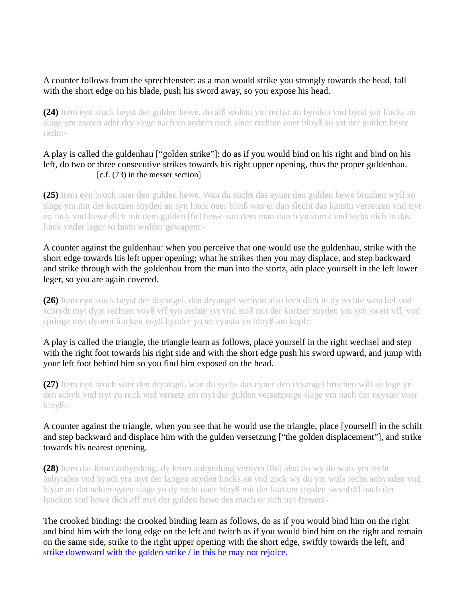## A counter follows from the sprechfenster: as a man would strike you strongly towards the head, fall with the short edge on his blade, push his sword away, so you expose his head.

**(24)** Item eyn stuck heyst der gulden hewe. do alß wolstu ym rechst an bynden vnd bynd ym lincks an slage ym zween ader dry slege nach en andern nach siner rechten ouer bloyß so yst der gulden hewe recht:-

## A play is called the guldenhau ["golden strike"]: do as if you would bind on his right and bind on his left, do two or three consecutive strikes towards his right upper opening, thus the proper guldenhau. [c.f. (73) in the messer section]

**(25)** Item eyn broch ouer den gulden hewe. Wan du suchs das eyner den gulden hewe bruchen wyll so slage ym mit der kortzen snyden an syn linck ouer bloiß was er dan slecht das kanstu versetzen vnd tryt zo ruck vnd hewe dich mit dem gulden [6r] hewe van dem man durch yn sturtz vnd lechs dich in das linck vnder leger so bistu widder gewapent:-

A counter against the guldenhau: when you perceive that one would use the guldenhau, strike with the short edge towards his left upper opening; what he strikes then you may displace, and step backward and strike through with the goldenhau from the man into the stortz, adn place yourself in the left lower leger, so you are again covered.

**(26)** Item eyn stuck heyst der dryangel. den dryangel vernym also lech dich in dy rechte weschel vnd schrydt myt dym rechten voyß vff syn rechte syt vnd stoß mit der kortzer snyden ym syn swert vff, vnd springe myt dynem lincken voyß hynder yn so vynstu yn bloyß am kopf:-

A play is called the triangle, the triangle learn as follows, place yourself in the right wechsel and step with the right foot towards his right side and with the short edge push his sword upward, and jump with your left foot behind him so you find him exposed on the head.

**(27)** Item eyn broch vuer den dryangel. wan du sychs das eyner den dryangel bruchen will so lege yn den schylt vnd tryt zo ruck vnd versetz em myt der gulden versetzynge slage ym nach der neyster vuer bloyß:-

## A counter against the triangle, when you see that he would use the triangle, place [yourself] in the schilt and step backward and displace him with the gulden versetzung ["the golden displacement"], and strike towards his nearest opening.

**(28)** Item das krom anbyndung. dy krom anbyndung vernym [6v] also do wy du wuls ym recht anbynden vnd byndt ym myt der langen snyden lincks an vnd zock wy du ym wuls rechs anbynden vnd blyue an der seluer syten slage yn dy recht ouer bloyß mit der kortzen snyden swyn[dt] nach der lyncken vnd hewe dich aff myt der gulden hewe des mach er sich nyt frewen:-

The crooked binding: the crooked binding learn as follows, do as if you would bind him on the right and bind him with the long edge on the left and twitch as if you would bind him on the right and remain on the same side, strike to the right upper opening with the short edge, swiftly towards the left, and strike downward with the golden strike / in this he may not rejoice.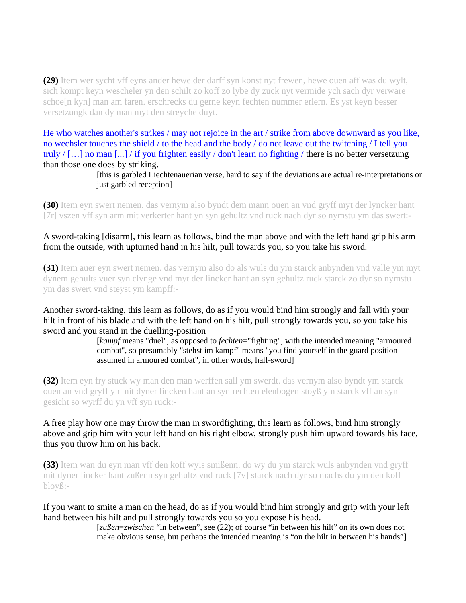**(29)** Item wer sycht vff eyns ander hewe der darff syn konst nyt frewen, hewe ouen aff was du wylt, sich kompt keyn wescheler yn den schilt zo koff zo lybe dy zuck nyt vermide ych sach dyr verware schoe[n kyn] man am faren. erschrecks du gerne keyn fechten nummer erlern. Es yst keyn besser versetzungk dan dy man myt den streyche duyt.

He who watches another's strikes / may not rejoice in the art / strike from above downward as you like, no wechsler touches the shield / to the head and the body / do not leave out the twitching / I tell you truly / […] no man [...] / if you frighten easily / don't learn no fighting / there is no better versetzung than those one does by striking.

> [this is garbled Liechtenauerian verse, hard to say if the deviations are actual re-interpretations or just garbled reception]

**(30)** Item eyn swert nemen. das vernym also byndt dem mann ouen an vnd gryff myt der lyncker hant [7r] vszen vff syn arm mit verkerter hant yn syn gehultz vnd ruck nach dyr so nymstu ym das swert:-

A sword-taking [disarm], this learn as follows, bind the man above and with the left hand grip his arm from the outside, with upturned hand in his hilt, pull towards you, so you take his sword.

**(31)** Item auer eyn swert nemen. das vernym also do als wuls du ym starck anbynden vnd valle ym myt dynem gehults vuer syn clynge vnd myt der lincker hant an syn gehultz ruck starck zo dyr so nymstu ym das swert vnd steyst ym kampff:-

Another sword-taking, this learn as follows, do as if you would bind him strongly and fall with your hilt in front of his blade and with the left hand on his hilt, pull strongly towards you, so you take his sword and you stand in the duelling-position

> [*kampf* means "duel", as opposed to *fechten*="fighting", with the intended meaning "armoured combat", so presumably "stehst im kampf" means "you find yourself in the guard position assumed in armoured combat", in other words, half-sword]

**(32)** Item eyn fry stuck wy man den man werffen sall ym swerdt. das vernym also byndt ym starck ouen an vnd gryff yn mit dyner lincken hant an syn rechten elenbogen stoyß ym starck vff an syn gesicht so wyrff du yn vff syn ruck:-

A free play how one may throw the man in swordfighting, this learn as follows, bind him strongly above and grip him with your left hand on his right elbow, strongly push him upward towards his face, thus you throw him on his back.

**(33)** Item wan du eyn man vff den koff wyls smißenn. do wy du ym starck wuls anbynden vnd gryff mit dyner lincker hant zußenn syn gehultz vnd ruck [7v] starck nach dyr so machs du ym den koff bloyß:-

If you want to smite a man on the head, do as if you would bind him strongly and grip with your left hand between his hilt and pull strongly towards you so you expose his head.

[*zußen*=*zwischen* "in between", see (22); of course "in between his hilt" on its own does not make obvious sense, but perhaps the intended meaning is "on the hilt in between his hands"]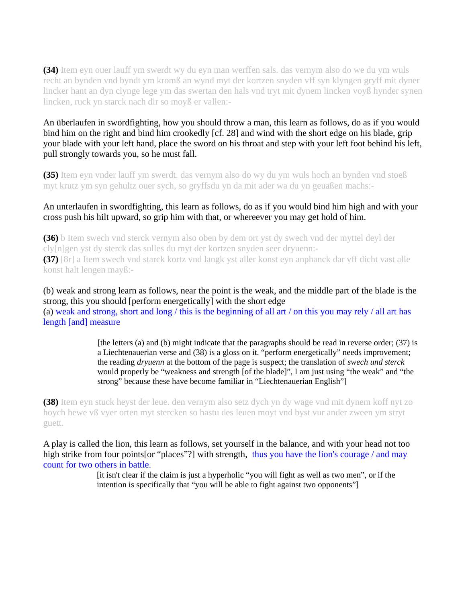**(34)** Item eyn ouer lauff ym swerdt wy du eyn man werffen sals. das vernym also do we du ym wuls recht an bynden vnd byndt ym kromß an wynd myt der kortzen snyden vff syn klyngen gryff mit dyner lincker hant an dyn clynge lege ym das swertan den hals vnd tryt mit dynem lincken voyß hynder synen lincken, ruck yn starck nach dir so moyß er vallen:-

An überlaufen in swordfighting, how you should throw a man, this learn as follows, do as if you would bind him on the right and bind him crookedly [cf. 28] and wind with the short edge on his blade, grip your blade with your left hand, place the sword on his throat and step with your left foot behind his left, pull strongly towards you, so he must fall.

**(35)** Item eyn vnder lauff ym swerdt. das vernym also do wy du ym wuls hoch an bynden vnd stoeß myt krutz ym syn gehultz ouer sych, so gryffsdu yn da mit ader wa du yn geuaßen machs:-

#### An unterlaufen in swordfighting, this learn as follows, do as if you would bind him high and with your cross push his hilt upward, so grip him with that, or whereever you may get hold of him.

**(36)** b Item swech vnd sterck vernym also oben by dem ort yst dy swech vnd der myttel deyl der cly[n]gen yst dy sterck das sulles du myt der kortzen snyden seer dryuenn:- **(37)** [8r] a Item swech vnd starck kortz vnd langk yst aller konst eyn anphanck dar vff dicht vast alle konst halt lengen mayß:-

(b) weak and strong learn as follows, near the point is the weak, and the middle part of the blade is the strong, this you should [perform energetically] with the short edge (a) weak and strong, short and long / this is the beginning of all art / on this you may rely / all art has length [and] measure

> [the letters (a) and (b) might indicate that the paragraphs should be read in reverse order; (37) is a Liechtenauerian verse and (38) is a gloss on it. "perform energetically" needs improvement; the reading *dryuenn* at the bottom of the page is suspect; the translation of *swech und sterck* would properly be "weakness and strength [of the blade]", I am just using "the weak" and "the strong" because these have become familiar in "Liechtenauerian English"]

**(38)** Item eyn stuck heyst der leue. den vernym also setz dych yn dy wage vnd mit dynem koff nyt zo hoych hewe vß vyer orten myt stercken so hastu des leuen moyt vnd byst vur ander zween ym stryt guett.

A play is called the lion, this learn as follows, set yourself in the balance, and with your head not too high strike from four points[or "places"?] with strength, thus you have the lion's courage / and may count for two others in battle.

> [it isn't clear if the claim is just a hyperholic "you will fight as well as two men", or if the intention is specifically that "you will be able to fight against two opponents"]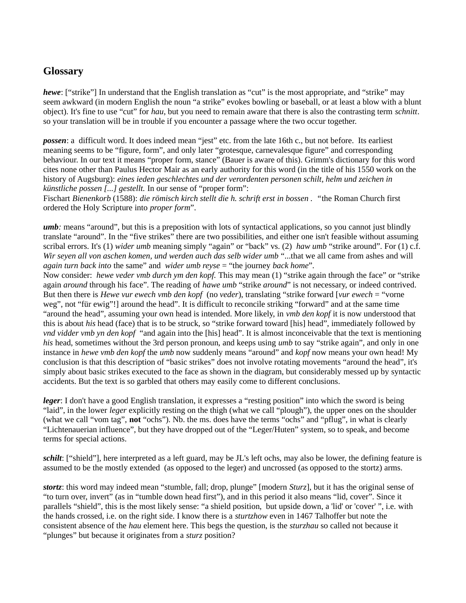# **Glossary**

*hewe*: ["strike"] In understand that the English translation as "cut" is the most appropriate, and "strike" may seem awkward (in modern English the noun "a strike" evokes bowling or baseball, or at least a blow with a blunt object). It's fine to use "cut" for *hau*, but you need to remain aware that there is also the contrasting term *schnitt*. so your translation will be in trouble if you encounter a passage where the two occur together.

*possen*: a difficult word. It does indeed mean "jest" etc. from the late 16th c., but not before. Its earliest meaning seems to be "figure, form", and only later "grotesque, carnevalesque figure" and corresponding behaviour. In our text it means "proper form, stance" (Bauer is aware of this). Grimm's dictionary for this word cites none other than Paulus Hector Mair as an early authority for this word (in the title of his 1550 work on the history of Augsburg): *eines ieden geschlechtes und der verordenten personen schilt, helm und zeichen in künstliche possen [...] gestellt.* In our sense of "proper form":

Fischart *Bienenkorb* (1588): *die römisch kirch stellt die h. schrift erst in bossen . "*the Roman Church first ordered the Holy Scripture into *proper form*".

*umb:* means "around", but this is a preposition with lots of syntactical applications, so you cannot just blindly translate "around". In the "five strikes" there are two possibilities, and either one isn't feasible without assuming scribal errors. It's (1) *wider umb* meaning simply "again" or "back" vs. (2) *haw umb* "strike around". For (1) c.f. *Wir seyen all von aschen komen, und werden auch das selb wider umb* "...that we all came from ashes and will *again turn back into* the same" and *wider umb reyse* = "the journey *back home*".

Now consider: *hewe veder vmb durch ym den kopf.* This may mean (1) "strike again through the face" or "strike again *around* through his face". The reading of *hawe umb* "strike *around*" is not necessary, or indeed contrived. But then there is *Hewe vur ewech vmb den kopf* (no *veder*), translating "strike forward [*vur ewech* = "vorne weg", not "für ewig"!] around the head". It is difficult to reconcile striking "forward" and at the same time "around the head", assuming your own head is intended. More likely, in *vmb den kopf* it is now understood that this is about *his* head (face) that is to be struck, so "strike forward toward [his] head", immediately followed by *vnd vidder vmb yn den kopf* "and again into the [his] head". It is almost inconceivable that the text is mentioning *his* head, sometimes without the 3rd person pronoun, and keeps using *umb* to say "strike again", and only in one instance in *hewe vmb den kopf* the *umb* now suddenly means "around" and *kopf* now means your own head! My conclusion is that this description of "basic strikes" does not involve rotating movements "around the head", it's simply about basic strikes executed to the face as shown in the diagram, but considerably messed up by syntactic accidents. But the text is so garbled that others may easily come to different conclusions.

*leger*: I don't have a good English translation, it expresses a "resting position" into which the sword is being "laid", in the lower *leger* explicitly resting on the thigh (what we call "plough"), the upper ones on the shoulder (what we call "vom tag", **not** "ochs"). Nb. the ms. does have the terms "ochs" and "pflug", in what is clearly "Lichtenauerian influence", but they have dropped out of the "Leger/Huten" system, so to speak, and become terms for special actions.

*schilt*: ["shield"], here interpreted as a left guard, may be JL's left ochs, may also be lower, the defining feature is assumed to be the mostly extended (as opposed to the leger) and uncrossed (as opposed to the stortz) arms.

*stortz*: this word may indeed mean "stumble, fall; drop, plunge" [modern *Sturz*], but it has the original sense of "to turn over, invert" (as in "tumble down head first"), and in this period it also means "lid, cover". Since it parallels "shield", this is the most likely sense: "a shield position, but upside down, a 'lid' or 'cover' ", i.e. with the hands crossed, i.e. on the right side. I know there is a *sturtzhow* even in 1467 Talhoffer but note the consistent absence of the *hau* element here. This begs the question, is the *sturzhau* so called not because it "plunges" but because it originates from a *sturz* position?